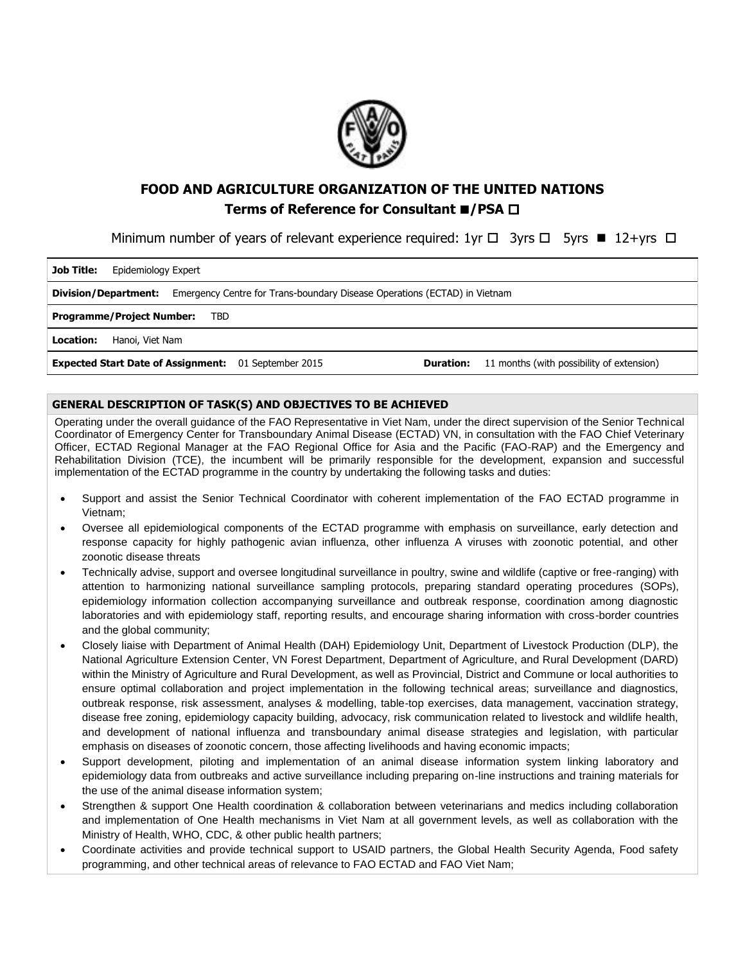

# **FOOD AND AGRICULTURE ORGANIZATION OF THE UNITED NATIONS Terms of Reference for Consultant ■/PSA □**

Minimum number of years of relevant experience required:  $1yr \Box$  3yrs  $\Box$  5yrs  $\blacksquare$  12+yrs  $\Box$ 

| <b>Job Title:</b><br>Epidemiology Expert                                                                                     |  |  |  |
|------------------------------------------------------------------------------------------------------------------------------|--|--|--|
| Emergency Centre for Trans-boundary Disease Operations (ECTAD) in Vietnam<br>Division/Department:                            |  |  |  |
| <b>Programme/Project Number:</b><br>TBD                                                                                      |  |  |  |
| Location:<br>Hanoi, Viet Nam                                                                                                 |  |  |  |
| <b>Expected Start Date of Assignment:</b> 01 September 2015<br>11 months (with possibility of extension)<br><b>Duration:</b> |  |  |  |

# **GENERAL DESCRIPTION OF TASK(S) AND OBJECTIVES TO BE ACHIEVED**

Operating under the overall guidance of the FAO Representative in Viet Nam, under the direct supervision of the Senior Technical Coordinator of Emergency Center for Transboundary Animal Disease (ECTAD) VN, in consultation with the FAO Chief Veterinary Officer, ECTAD Regional Manager at the FAO Regional Office for Asia and the Pacific (FAO-RAP) and the Emergency and Rehabilitation Division (TCE), the incumbent will be primarily responsible for the development, expansion and successful implementation of the ECTAD programme in the country by undertaking the following tasks and duties:

- Support and assist the Senior Technical Coordinator with coherent implementation of the FAO ECTAD programme in Vietnam;
- Oversee all epidemiological components of the ECTAD programme with emphasis on surveillance, early detection and response capacity for highly pathogenic avian influenza, other influenza A viruses with zoonotic potential, and other zoonotic disease threats
- Technically advise, support and oversee longitudinal surveillance in poultry, swine and wildlife (captive or free-ranging) with attention to harmonizing national surveillance sampling protocols, preparing standard operating procedures (SOPs), epidemiology information collection accompanying surveillance and outbreak response, coordination among diagnostic laboratories and with epidemiology staff, reporting results, and encourage sharing information with cross-border countries and the global community;
- Closely liaise with Department of Animal Health (DAH) Epidemiology Unit, Department of Livestock Production (DLP), the National Agriculture Extension Center, VN Forest Department, Department of Agriculture, and Rural Development (DARD) within the Ministry of Agriculture and Rural Development, as well as Provincial, District and Commune or local authorities to ensure optimal collaboration and project implementation in the following technical areas; surveillance and diagnostics, outbreak response, risk assessment, analyses & modelling, table-top exercises, data management, vaccination strategy, disease free zoning, epidemiology capacity building, advocacy, risk communication related to livestock and wildlife health, and development of national influenza and transboundary animal disease strategies and legislation, with particular emphasis on diseases of zoonotic concern, those affecting livelihoods and having economic impacts;
- Support development, piloting and implementation of an animal disease information system linking laboratory and epidemiology data from outbreaks and active surveillance including preparing on-line instructions and training materials for the use of the animal disease information system;
- Strengthen & support One Health coordination & collaboration between veterinarians and medics including collaboration and implementation of One Health mechanisms in Viet Nam at all government levels, as well as collaboration with the Ministry of Health, WHO, CDC, & other public health partners;
- Coordinate activities and provide technical support to USAID partners, the Global Health Security Agenda, Food safety programming, and other technical areas of relevance to FAO ECTAD and FAO Viet Nam;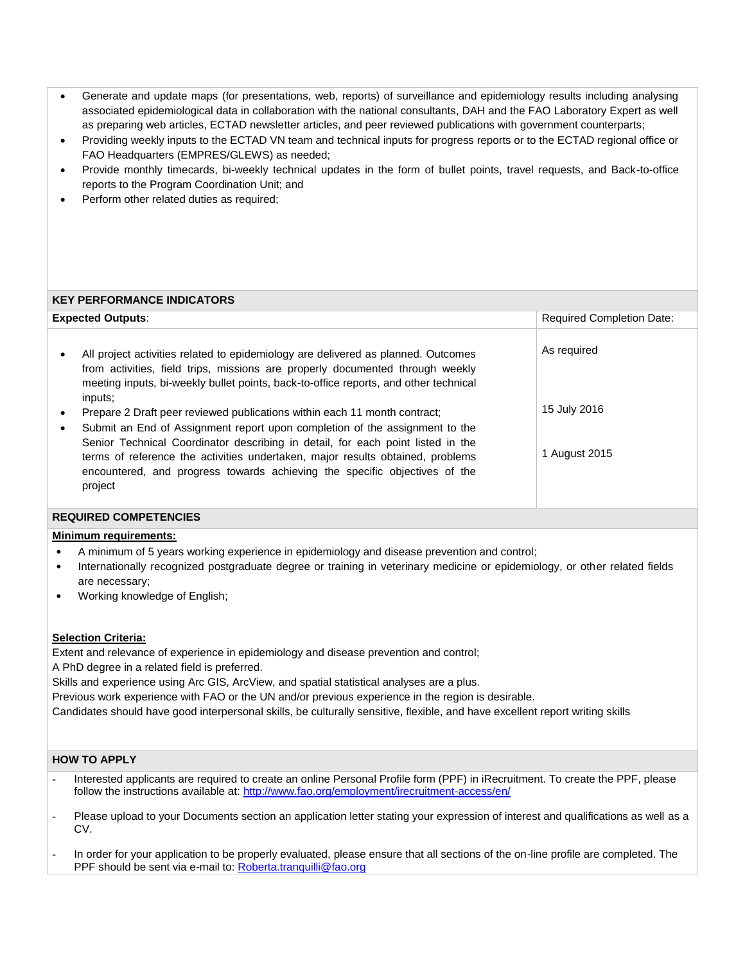- Generate and update maps (for presentations, web, reports) of surveillance and epidemiology results including analysing associated epidemiological data in collaboration with the national consultants, DAH and the FAO Laboratory Expert as well as preparing web articles, ECTAD newsletter articles, and peer reviewed publications with government counterparts;
- Providing weekly inputs to the ECTAD VN team and technical inputs for progress reports or to the ECTAD regional office or FAO Headquarters (EMPRES/GLEWS) as needed;
- Provide monthly timecards, bi-weekly technical updates in the form of bullet points, travel requests, and Back-to-office reports to the Program Coordination Unit; and
- Perform other related duties as required;

## **KEY PERFORMANCE INDICATORS**

| <b>Expected Outputs:</b> |                                                                                                                                                                                                                                                                                                                                           | <b>Required Completion Date:</b> |  |
|--------------------------|-------------------------------------------------------------------------------------------------------------------------------------------------------------------------------------------------------------------------------------------------------------------------------------------------------------------------------------------|----------------------------------|--|
| ٠                        | All project activities related to epidemiology are delivered as planned. Outcomes<br>from activities, field trips, missions are properly documented through weekly<br>meeting inputs, bi-weekly bullet points, back-to-office reports, and other technical<br>inputs;                                                                     | As required                      |  |
|                          | Prepare 2 Draft peer reviewed publications within each 11 month contract;                                                                                                                                                                                                                                                                 | 15 July 2016                     |  |
| ٠                        | Submit an End of Assignment report upon completion of the assignment to the<br>Senior Technical Coordinator describing in detail, for each point listed in the<br>terms of reference the activities undertaken, major results obtained, problems<br>encountered, and progress towards achieving the specific objectives of the<br>project | 1 August 2015                    |  |

#### **REQUIRED COMPETENCIES**

# **Minimum requirements:**

- A minimum of 5 years working experience in epidemiology and disease prevention and control;
- Internationally recognized postgraduate degree or training in veterinary medicine or epidemiology, or other related fields are necessary;
- Working knowledge of English;

#### **Selection Criteria:**

Extent and relevance of experience in epidemiology and disease prevention and control;

A PhD degree in a related field is preferred.

Skills and experience using Arc GIS, ArcView, and spatial statistical analyses are a plus.

Previous work experience with FAO or the UN and/or previous experience in the region is desirable.

Candidates should have good interpersonal skills, be culturally sensitive, flexible, and have excellent report writing skills

### **HOW TO APPLY**

- Interested applicants are required to create an online Personal Profile form (PPF) in iRecruitment. To create the PPF, please follow the instructions available at:<http://www.fao.org/employment/irecruitment-access/en/>
- Please upload to your Documents section an application letter stating your expression of interest and qualifications as well as a CV.
- In order for your application to be properly evaluated, please ensure that all sections of the on-line profile are completed. The PPF should be sent via e-mail to[: Roberta.tranquilli@fao.org](mailto:Roberta.tranquilli@fao.org)